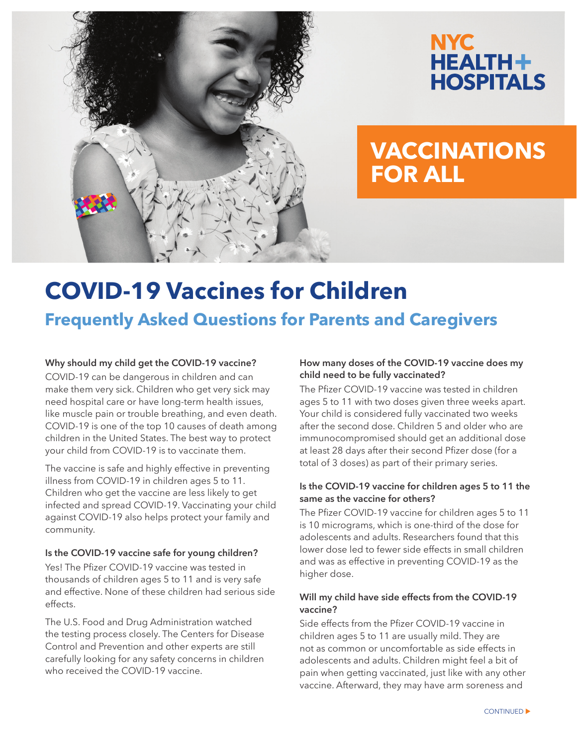



# **VACCINATIONS FOR ALL**

# **COVID-19 Vaccines for Children Frequently Asked Questions for Parents and Caregivers**

# **Why should my child get the COVID-19 vaccine?**

COVID-19 can be dangerous in children and can make them very sick. Children who get very sick may need hospital care or have long-term health issues, like muscle pain or trouble breathing, and even death. COVID-19 is one of the top 10 causes of death among children in the United States. The best way to protect your child from COVID-19 is to vaccinate them.

The vaccine is safe and highly effective in preventing illness from COVID-19 in children ages 5 to 11. Children who get the vaccine are less likely to get infected and spread COVID-19. Vaccinating your child against COVID-19 also helps protect your family and community.

#### **Is the COVID-19 vaccine safe for young children?**

Yes! The Pfizer COVID-19 vaccine was tested in thousands of children ages 5 to 11 and is very safe and effective. None of these children had serious side effects.

The U.S. Food and Drug Administration watched the testing process closely. The Centers for Disease Control and Prevention and other experts are still carefully looking for any safety concerns in children who received the COVID-19 vaccine.

# **How many doses of the COVID-19 vaccine does my child need to be fully vaccinated?**

The Pfizer COVID-19 vaccine was tested in children ages 5 to 11 with two doses given three weeks apart. Your child is considered fully vaccinated two weeks after the second dose. Children 5 and older who are immunocompromised should get an additional dose at least 28 days after their second Pfizer dose (for a total of 3 doses) as part of their primary series.

#### **Is the COVID-19 vaccine for children ages 5 to 11 the same as the vaccine for others?**

The Pfizer COVID-19 vaccine for children ages 5 to 11 is 10 micrograms, which is one-third of the dose for adolescents and adults. Researchers found that this lower dose led to fewer side effects in small children and was as effective in preventing COVID-19 as the higher dose.

## **Will my child have side effects from the COVID-19 vaccine?**

Side effects from the Pfizer COVID-19 vaccine in children ages 5 to 11 are usually mild. They are not as common or uncomfortable as side effects in adolescents and adults. Children might feel a bit of pain when getting vaccinated, just like with any other vaccine. Afterward, they may have arm soreness and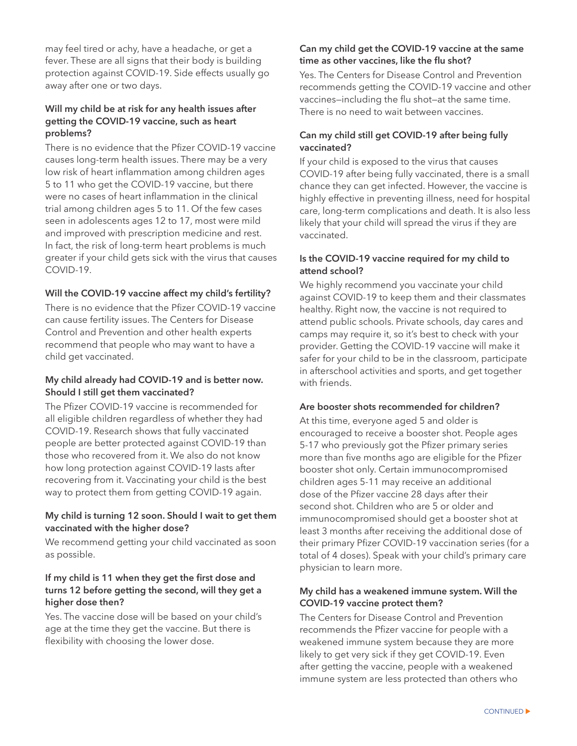may feel tired or achy, have a headache, or get a fever. These are all signs that their body is building protection against COVID-19. Side effects usually go away after one or two days.

#### **Will my child be at risk for any health issues after getting the COVID-19 vaccine, such as heart problems?**

There is no evidence that the Pfizer COVID-19 vaccine causes long-term health issues. There may be a very low risk of heart inflammation among children ages 5 to 11 who get the COVID-19 vaccine, but there were no cases of heart inflammation in the clinical trial among children ages 5 to 11. Of the few cases seen in adolescents ages 12 to 17, most were mild and improved with prescription medicine and rest. In fact, the risk of long-term heart problems is much greater if your child gets sick with the virus that causes COVID-19.

## **Will the COVID-19 vaccine affect my child's fertility?**

There is no evidence that the Pfizer COVID-19 vaccine can cause fertility issues. The Centers for Disease Control and Prevention and other health experts recommend that people who may want to have a child get vaccinated.

## **My child already had COVID-19 and is better now. Should I still get them vaccinated?**

The Pfizer COVID-19 vaccine is recommended for all eligible children regardless of whether they had COVID-19. Research shows that fully vaccinated people are better protected against COVID-19 than those who recovered from it. We also do not know how long protection against COVID-19 lasts after recovering from it. Vaccinating your child is the best way to protect them from getting COVID-19 again.

## **My child is turning 12 soon. Should I wait to get them vaccinated with the higher dose?**

We recommend getting your child vaccinated as soon as possible.

### **If my child is 11 when they get the first dose and turns 12 before getting the second, will they get a higher dose then?**

Yes. The vaccine dose will be based on your child's age at the time they get the vaccine. But there is flexibility with choosing the lower dose.

## **Can my child get the COVID-19 vaccine at the same time as other vaccines, like the flu shot?**

Yes. The Centers for Disease Control and Prevention recommends getting the COVID-19 vaccine and other vaccines—including the flu shot—at the same time. There is no need to wait between vaccines.

## **Can my child still get COVID-19 after being fully vaccinated?**

If your child is exposed to the virus that causes COVID-19 after being fully vaccinated, there is a small chance they can get infected. However, the vaccine is highly effective in preventing illness, need for hospital care, long-term complications and death. It is also less likely that your child will spread the virus if they are vaccinated.

## **Is the COVID-19 vaccine required for my child to attend school?**

We highly recommend you vaccinate your child against COVID-19 to keep them and their classmates healthy. Right now, the vaccine is not required to attend public schools. Private schools, day cares and camps may require it, so it's best to check with your provider. Getting the COVID-19 vaccine will make it safer for your child to be in the classroom, participate in afterschool activities and sports, and get together with friends.

#### **Are booster shots recommended for children?**

At this time, everyone aged 5 and older is encouraged to receive a booster shot. People ages 5-17 who previously got the Pfizer primary series more than five months ago are eligible for the Pfizer booster shot only. Certain immunocompromised children ages 5-11 may receive an additional dose of the Pfizer vaccine 28 days after their second shot. Children who are 5 or older and immunocompromised should get a booster shot at least 3 months after receiving the additional dose of their primary Pfizer COVID-19 vaccination series (for a total of 4 doses). Speak with your child's primary care physician to learn more.

## **My child has a weakened immune system. Will the COVID-19 vaccine protect them?**

The Centers for Disease Control and Prevention recommends the Pfizer vaccine for people with a weakened immune system because they are more likely to get very sick if they get COVID-19. Even after getting the vaccine, people with a weakened immune system are less protected than others who